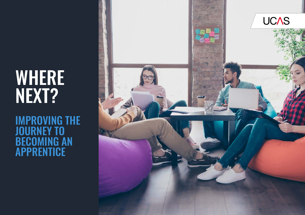# WHERE<sup>1</sup> NEXT?

IMPROVING THE JOURNEY TO BECOMING AN APPRENTICE

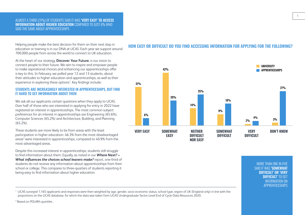#### ALMOST A THIRD (31%) OF STUDENTS SAID IT WAS 'VERY EASY' TO ACCESS INFORMATION ABOUT HIGHER EDUCATION COMPARED TO JUST 6% WHO SAID THE SAME ABOUT APPRENTICESHIPS

Helping people make the best decision for them on their next step in education or training is in our DNA at UCAS. Each year we support around 700,000 people from across the world to connect to UK education.

At the heart of our strategy, **[Discover Your Future](http://www.ucas.com/2025)**, is our vision to connect people to their future. We aim to inspire and empower people to make aspirational choices and enhancing our apprenticeships offer is key to this. In February, we polled year 12 and 13 students, about their attitudes to higher education and apprenticeships, as well as their experience in exploring these options<sup>1</sup>. Key findings include:

#### STUDENTS ARE INCREASINGLY INTERESTED IN APPRENTICESHIPS, BUT FIND IT HARD TO GET INFORMATION ABOUT THEM

We ask all our applicants certain questions when they apply to UCAS. Over half of those who are interested in applying for entry in 2022 have registered an interest in apprenticeships. The most common subject preferences for an interest in apprenticeships are Engineering (65.6%), Computer Sciences (65.2%) and Architecture, Building, and Planning (65.2%).

These students are more likely to be from areas with the least participation in higher education: 46.3% from the most disadvantaged areas<sup>2</sup> were interested in apprenticeships, compared to 40.9% from the most advantaged areas.

Despite this increased interest in apprenticeships, students still struggle to find information about them. Equally, as noted in our *[Where Next? –](https://www.ucas.com/corporate/news-and-key-documents/news/one-five-students-unintentionally-block-themselves-degree-choices)  [What influences the choices school leavers make?](https://www.ucas.com/corporate/news-and-key-documents/news/one-five-students-unintentionally-block-themselves-degree-choices)* report, one-third of students do not receive any information about apprenticeships from their school or college. This compares to three-quarters of students reporting it being easy to find information about higher education.

## HOW EASY OR DIFFICULT DO YOU FIND ACCESSING INFORMATION FOR APPLYING FOR THE FOLLOWING?



MORE THAN ONE IN FIVE SAID IT WAS 'SOMEWHAT **DIFFICULT' OR 'VERY DIFFICULT' TO GET** INFORMATION ON APPRENTICESHIPS 1

<sup>1</sup> UCAS surveyed 1,165 applicants and responses were then weighted by age, gender, socio economic status, school type, region of UK (England only) in line with the proportions on the UCAS database, for which the data was taken from UCAS Undergraduate Sector-Level End of Cycle Data Resources 2020.

<sup>2</sup> Based on POLAR4 quintiles.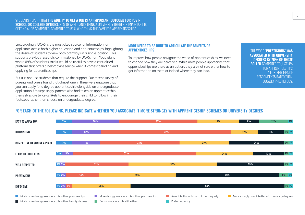#### STUDENTS REPORT THAT THE ABILITY TO GET A JOB IS AN IMPORTANT OUTCOME FOR POST-SCHOOL OR COLLEGE OPTIONS. 87% OF APPLICANTS THINK A UNIVERSITY DEGREE IS IMPORTANT TO GETTING A JOB COMPARED, COMPARED TO 57% WHO THINK THE SAME FOR APPRENTICESHIPS

Encouragingly, UCAS is the most cited source for information for applicants across both higher education and apprenticeships, highlighting the desire of students to view both pathways in a single location. This supports previous research, commissioned by UCAS, from Youthsight where 89% of students said it would be useful to have a centralised platform that offers a help/advice service when it comes to finding and applying for apprenticeships.

But it is not just students that require this support. Our recent survey of parents and carers found that almost one in three were unaware that you can apply for a degree apprenticeship alongside an undergraduate application. Unsurprisingly, parents who had taken an apprenticeship themselves are twice as likely to encourage their child to follow in their footsteps rather than choose an undergraduate degree.

#### MORE NEEDS TO BE DONE TO ARTICULATE THE BENEFITS OF APPRENTICESHIPS

To improve how people navigate the world of apprenticeships, we need to change how they are perceived. While most people appreciate that apprenticeships are there as an option, they are not sure either how to get information on them or indeed where they can lead.

THE WORD 'PRESTIGIOUS' WAS ASSOCIATED WITH UNIVERSITY DEGREES BY 76% OF THOSE POLLED COMPARED TO JUST 4% FOR APPRENTICESHIPS – A FURTHER 14% OF RESPONDENTS RATED THEM EQUALLY PRESTIGIOUS.

## FOR EACH OF THE FOLLOWING, PLEASE INDICATE WHETHER YOU ASSOCIATE IT MORE STRONGLY WITH APPRENTICESHIP SCHEMES OR UNIVERSITY DEGREES

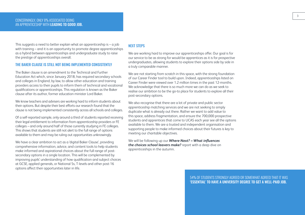This suggests a need to better explain what an apprenticeship is  $-$  a job with training – and it is an opportunity to promote degree apprenticeships as a hybrid between apprenticeships and undergraduate study to raise the prestige of apprenticeships overall.

#### THE BAKER CLAUSE IS STILL NOT BEING IMPLEMENTED CONSISTENTLY

The Baker clause is an amendment to the Technical and Further Education Act which, since January 2018, has required secondary schools and colleges in England, by law, to allow other education and training providers access to their pupils to inform them of technical and vocational qualifications or apprenticeships. This regulation is known as the Baker clause after its author, former education minister Lord Baker.

We know teachers and advisers are working hard to inform students about their options. But despite their best efforts our research found that the clause is not being implemented consistently across all schools and colleges.

Of a self-reported sample, only around a third of students reported receiving their legal entitlement to information from apprenticeship providers or FE colleges – and only around half of those currently studying in FE colleges. This shows that students are still not alert to the full range of options available to them and may be ruling out opportunities unknowingly.

We have a clear ambition to act as a 'digital Baker Clause', providing comprehensive information, advice, and content tools to help students make informed and aspirational choices about the full range of postsecondary options in a single location. This will be complemented by improving pupils' understanding of how qualification and subject choices at GCSE, applied generals, or National 5s, T-levels and other post-16 options affect their opportunities later in life.

### NEXT STEPS

We are working hard to improve our apprenticeships offer. Our goal is for our service to be as strong for would-be apprentices as it is for prospective undergraduates, allowing students to explore their options side by side in a truly comparable manner.

We are not starting from scratch in this space, with the strong foundation of our Career Finder tool to build upon. Indeed, apprenticeships listed on Career Finder were viewed over 1.2 million times in the past 12-months. We acknowledge that there is so much more we can do as we seek to realise our ambition to be the go-to place for students to explore all their post-secondary options.

We also recognise that there are a lot of private and public sector apprenticeship matching services and we are not seeking to simply duplicate what is already out there. Rather we want to add value to this space, address fragmentation, and ensure the 700,000 prospective students and apprentices that come to UCAS each year see all the options available to them. We are a trusted and independent organisation and supporting people to make informed choices about their futures is key to meeting our charitable objectives.

We will be following up our *[Where Next? – What influences](https://www.ucas.com/corporate/news-and-key-documents/news/one-five-students-unintentionally-block-themselves-degree-choices)  [the choices school leavers make?](https://www.ucas.com/corporate/news-and-key-documents/news/one-five-students-unintentionally-block-themselves-degree-choices)* report with a deep dive on apprenticeships in the autumn.

> 54% OF STUDENTS STRONGLY AGREED OR SOMEWHAT AGREED THAT IT WAS 'ESSENTIAL' TO HAVE A UNIVERSITY DEGREE TO GET A WELL-PAID JOB.